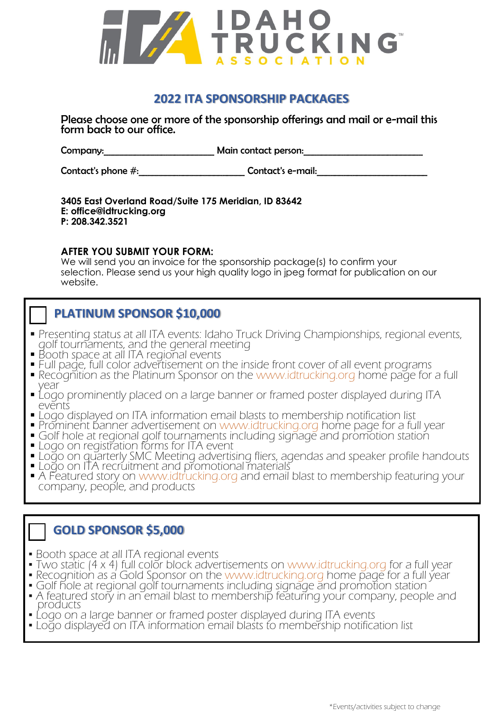

### **2022 ITA SPONSORSHIP PACKAGES**

Please choose one or more of the sponsorship offerings and mail or e-mail this form back to our office.

Company: \_\_\_\_\_\_\_\_\_\_\_\_\_\_\_\_\_\_\_\_\_\_\_\_\_\_ Main contact person: \_\_\_\_\_\_\_\_\_\_\_\_\_\_\_\_\_\_\_\_\_\_\_

Contact's phone  $\#$ : Contact's e-mail:

**3405 East Overland Road/Suite 175 Meridian, ID 83642 E: [office@idtrucking.org](mailto:office@idtrucking.org) P: 208.342.3521**

#### **AFTER YOU SUBMIT YOUR FORM:**

We will send you an invoice for the sponsorship package(s) to confirm your selection. Please send us your high quality logo in jpeg format for publication on our website.

## **PLATINUM SPONSOR \$10,000**

- **•** Presenting status at all ITA events: Idaho Truck Driving Championships, regional events, ….golf tournaments, and the general meeting
- **Booth space at all ITA regional events**
- Full page, full color advertisement on the inside front cover of all event programs
- Recognition as the Platinum Sponsor on the [www.idtrucking.org](http://www.idtrucking.org/) home page for a full ….year
- Logo prominently placed on a large banner or framed poster displayed during ITA events
- Logo displayed on ITA information email blasts to membership notification list
- **Prominent banner advertisement on [www.idtrucking.org](http://www.idtrucking.org/) home page for a full year**
- Golf hole at regional golf tournaments including signage and promotion station
- Logo on registration forms for ITA event
- **Logo on quarterly SMC Meeting advertising fliers, agendas and speaker profile handouts**
- **•** Logo on ITA recruitment and promotional materials
- A Featured story on [www.idtrucking.org](http://www.idtrucking.org/) and email blast to membership featuring your company, people, and products

#### **GOLD SPONSOR \$5,000**

- **Booth space at all ITA regional events**
- Two static (4 x 4) full color block advertisements on [www.idtrucking.org](http://www.idtrucking.org/) for a full year
- Recognition as a Gold Sponsor on the [www.idtrucking.org](http://www.idtrucking.org/) home page for a full year
- Golf hole at regional golf tournaments including signage and promotion station
- A featured story in an email blast to membership featuring your company, people and ….products
- Logo on a large banner or framed poster displayed during ITA events
- Logo displayed on ITA information email blasts to membership notification list